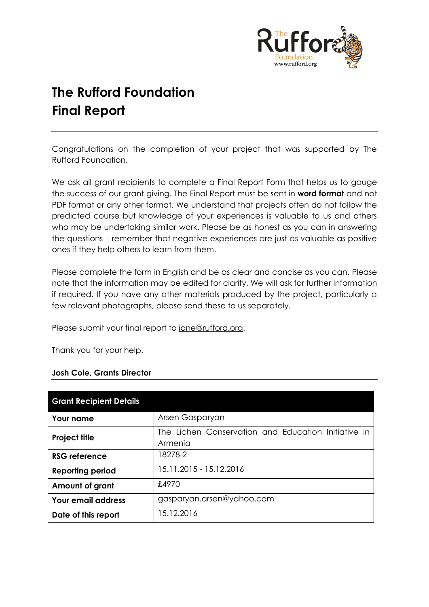

# **The Rufford Foundation Final Report**

Congratulations on the completion of your project that was supported by The Rufford Foundation.

We ask all grant recipients to complete a Final Report Form that helps us to gauge the success of our grant giving. The Final Report must be sent in **word format** and not PDF format or any other format. We understand that projects often do not follow the predicted course but knowledge of your experiences is valuable to us and others who may be undertaking similar work. Please be as honest as you can in answering the questions – remember that negative experiences are just as valuable as positive ones if they help others to learn from them.

Please complete the form in English and be as clear and concise as you can. Please note that the information may be edited for clarity. We will ask for further information if required. If you have any other materials produced by the project, particularly a few relevant photographs, please send these to us separately.

Please submit your final report to [jane@rufford.org.](mailto:jane@rufford.org)

Thank you for your help.

#### **Josh Cole, Grants Director**

| <b>Grant Recipient Details</b> |                                                                |  |  |  |  |
|--------------------------------|----------------------------------------------------------------|--|--|--|--|
| Your name                      | Arsen Gasparyan                                                |  |  |  |  |
| <b>Project title</b>           | The Lichen Conservation and Education Initiative in<br>Armenia |  |  |  |  |
| <b>RSG reference</b>           | 18278-2                                                        |  |  |  |  |
| <b>Reporting period</b>        | 15.11.2015 - 15.12.2016                                        |  |  |  |  |
| Amount of grant                | £4970                                                          |  |  |  |  |
| <b>Your email address</b>      | gasparyan.arsen@yahoo.com                                      |  |  |  |  |
| Date of this report            | 15.12.2016                                                     |  |  |  |  |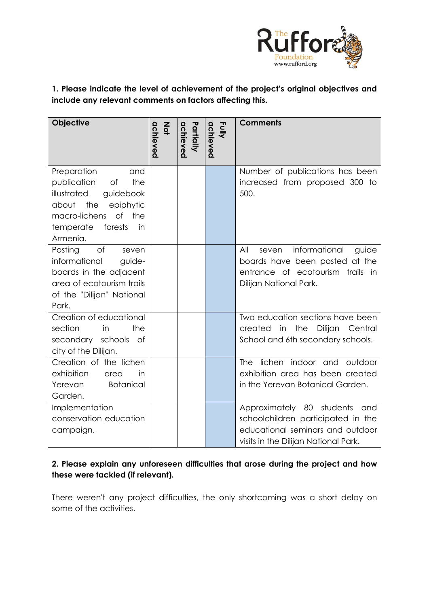

**1. Please indicate the level of achievement of the project's original objectives and include any relevant comments on factors affecting this.** 

| <b>Objective</b>                                                                                                                                                                       | achieved<br>$rac{2}{9}$ | achieved<br>Partially | <b>Fully</b><br>achieved | <b>Comments</b>                                                                                                                                    |  |
|----------------------------------------------------------------------------------------------------------------------------------------------------------------------------------------|-------------------------|-----------------------|--------------------------|----------------------------------------------------------------------------------------------------------------------------------------------------|--|
|                                                                                                                                                                                        |                         |                       |                          |                                                                                                                                                    |  |
| Preparation<br>and<br>publication<br>of<br>the<br>illustrated<br>guidebook<br>about<br>the<br>epiphytic<br>$\circ$ f<br>macro-lichens<br>the<br>in<br>forests<br>temperate<br>Armenia. |                         |                       |                          | Number of publications has been<br>increased from proposed 300 to<br>500.                                                                          |  |
| of<br>Posting<br>seven<br>informational<br>guide-<br>boards in the adjacent<br>area of ecotourism trails<br>of the "Dilijan" National<br>Park.                                         |                         |                       |                          | informational<br>All<br>guide<br>seven<br>boards have been posted at the<br>entrance of ecotourism trails in<br>Dilijan National Park.             |  |
| Creation of educational<br>section<br>the<br>in<br>secondary schools<br>of<br>city of the Dilijan.                                                                                     |                         |                       |                          | Two education sections have been<br>created<br>the<br>Dilijan<br>in<br>Central<br>School and 6th secondary schools.                                |  |
| Creation of the lichen<br>exhibition<br>in<br>area<br><b>Botanical</b><br>Yerevan<br>Garden.                                                                                           |                         |                       |                          | lichen indoor and outdoor<br><b>The</b><br>exhibition area has been created<br>in the Yerevan Botanical Garden.                                    |  |
| Implementation<br>conservation education<br>campaign.                                                                                                                                  |                         |                       |                          | Approximately 80 students<br>and<br>schoolchildren participated in the<br>educational seminars and outdoor<br>visits in the Dilijan National Park. |  |

# **2. Please explain any unforeseen difficulties that arose during the project and how these were tackled (if relevant).**

There weren't any project difficulties, the only shortcoming was a short delay on some of the activities.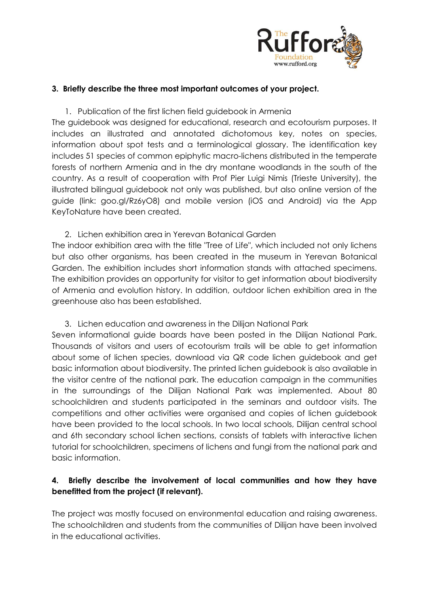

### **3. Briefly describe the three most important outcomes of your project.**

1. Publication of the first lichen field guidebook in Armenia

The guidebook was designed for educational, research and ecotourism purposes. It includes an illustrated and annotated dichotomous key, notes on species, information about spot tests and a terminological glossary. The identification key includes 51 species of common epiphytic macro-lichens distributed in the temperate forests of northern Armenia and in the dry montane woodlands in the south of the country. As a result of cooperation with Prof Pier Luigi Nimis (Trieste University), the illustrated bilingual guidebook not only was published, but also online version of the guide (link: goo.gl/Rz6yO8) and mobile version (iOS and Android) via the App KeyToNature have been created.

2. Lichen exhibition area in Yerevan Botanical Garden The indoor exhibition area with the title "Tree of Life", which included not only lichens but also other organisms, has been created in the museum in Yerevan Botanical Garden. The exhibition includes short information stands with attached specimens. The exhibition provides an opportunity for visitor to get information about biodiversity of Armenia and evolution history. In addition, outdoor lichen exhibition area in the greenhouse also has been established.

3. Lichen education and awareness in the Dilijan National Park

Seven informational guide boards have been posted in the Dilijan National Park. Thousands of visitors and users of ecotourism trails will be able to get information about some of lichen species, download via QR code lichen guidebook and get basic information about biodiversity. The printed lichen guidebook is also available in the visitor centre of the national park. The education campaign in the communities in the surroundings of the Dilijan National Park was implemented. About 80 schoolchildren and students participated in the seminars and outdoor visits. The competitions and other activities were organised and copies of lichen guidebook have been provided to the local schools. In two local schools, Dilijan central school and 6th secondary school lichen sections, consists of tablets with interactive lichen tutorial for schoolchildren, specimens of lichens and fungi from the national park and basic information.

# **4. Briefly describe the involvement of local communities and how they have benefitted from the project (if relevant).**

The project was mostly focused on environmental education and raising awareness. The schoolchildren and students from the communities of Dilijan have been involved in the educational activities.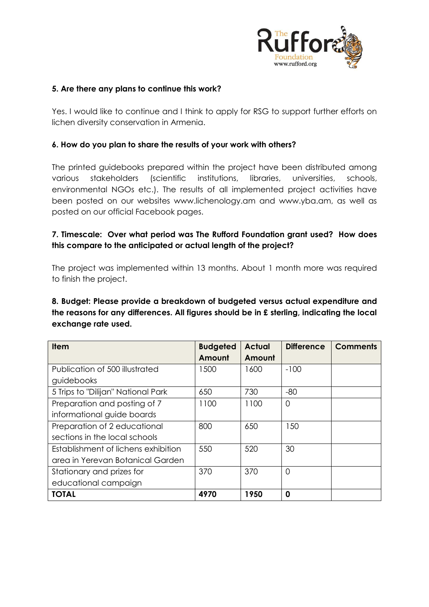

#### **5. Are there any plans to continue this work?**

Yes. I would like to continue and I think to apply for RSG to support further efforts on lichen diversity conservation in Armenia.

#### **6. How do you plan to share the results of your work with others?**

The printed guidebooks prepared within the project have been distributed among various stakeholders (scientific institutions, libraries, universities, schools, environmental NGOs etc.). The results of all implemented project activities have been posted on our websites www.lichenology.am and www.yba.am, as well as posted on our official Facebook pages.

# **7. Timescale: Over what period was The Rufford Foundation grant used? How does this compare to the anticipated or actual length of the project?**

The project was implemented within 13 months. About 1 month more was required to finish the project.

# **8. Budget: Please provide a breakdown of budgeted versus actual expenditure and the reasons for any differences. All figures should be in £ sterling, indicating the local exchange rate used.**

| <b>Item</b>                         | <b>Budgeted</b> | <b>Actual</b> | <b>Difference</b> | <b>Comments</b> |
|-------------------------------------|-----------------|---------------|-------------------|-----------------|
|                                     | Amount          | Amount        |                   |                 |
| Publication of 500 illustrated      | 1500            | 1600          | $-100$            |                 |
| guidebooks                          |                 |               |                   |                 |
| 5 Trips to "Dilijan" National Park  | 650             | 730           | $-80$             |                 |
| Preparation and posting of 7        | 1100            | 1100          | $\overline{0}$    |                 |
| informational guide boards          |                 |               |                   |                 |
| Preparation of 2 educational        | 800             | 650           | 150               |                 |
| sections in the local schools       |                 |               |                   |                 |
| Establishment of lichens exhibition | 550             | 520           | 30                |                 |
| area in Yerevan Botanical Garden    |                 |               |                   |                 |
| Stationary and prizes for           | 370             | 370           | $\overline{0}$    |                 |
| educational campaign                |                 |               |                   |                 |
| <b>TOTAL</b>                        | 4970            | 1950          | 0                 |                 |